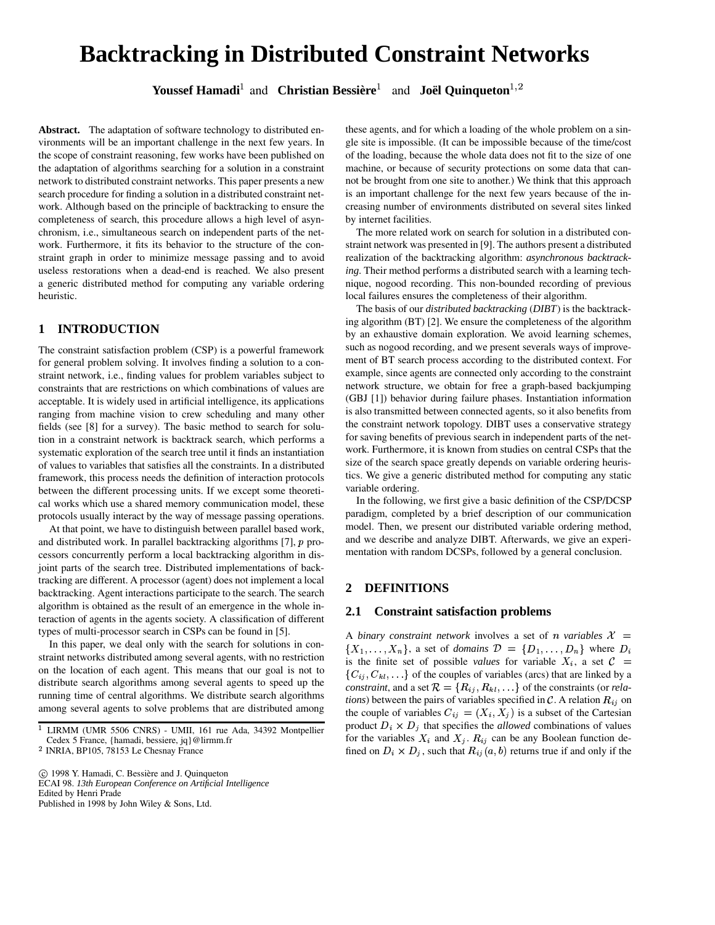# **Backtracking in Distributed Constraint Networks**

**Youssef Hamadi**<sup>1</sup> and **Christian Bessière**<sup>1</sup> and **Joël Quinqueton**<sup>1,2</sup>

**Abstract.** The adaptation of software technology to distributed environments will be an important challenge in the next few years. In the scope of constraint reasoning, few works have been published on the adaptation of algorithms searching for a solution in a constraint network to distributed constraint networks. This paper presents a new search procedure for finding a solution in a distributed constraint network. Although based on the principle of backtracking to ensure the completeness of search, this procedure allows a high level of asynchronism, i.e., simultaneous search on independent parts of the network. Furthermore, it fits its behavior to the structure of the constraint graph in order to minimize message passing and to avoid useless restorations when a dead-end is reached. We also present a generic distributed method for computing any variable ordering heuristic.

# **1 INTRODUCTION**

The constraint satisfaction problem (CSP) is a powerful framework for general problem solving. It involves finding a solution to a constraint network, i.e., finding values for problem variables subject to constraints that are restrictions on which combinations of values are acceptable. It is widely used in artificial intelligence, its applications ranging from machine vision to crew scheduling and many other fields (see [8] for a survey). The basic method to search for solution in a constraint network is backtrack search, which performs a systematic exploration of the search tree until it finds an instantiation of values to variables that satisfies all the constraints. In a distributed framework, this process needs the definition of interaction protocols between the different processing units. If we except some theoretical works which use a shared memory communication model, these protocols usually interact by the way of message passing operations.

At that point, we have to distinguish between parallel based work, and distributed work. In parallel backtracking algorithms  $[7]$ ,  $p$  processors concurrently perform a local backtracking algorithm in disjoint parts of the search tree. Distributed implementations of backtracking are different. A processor (agent) does not implement a local backtracking. Agent interactions participate to the search. The search algorithm is obtained as the result of an emergence in the whole interaction of agents in the agents society. A classification of different types of multi-processor search in CSPs can be found in [5].

In this paper, we deal only with the search for solutions in constraint networks distributed among several agents, with no restriction on the location of each agent. This means that our goal is not to distribute search algorithms among several agents to speed up the running time of central algorithms. We distribute search algorithms among several agents to solve problems that are distributed among

ECAI 98. *13th European Conference on Artificial Intelligence* Edited by Henri Prade

Published in 1998 by John Wiley & Sons, Ltd.

these agents, and for which a loading of the whole problem on a single site is impossible. (It can be impossible because of the time/cost of the loading, because the whole data does not fit to the size of one machine, or because of security protections on some data that cannot be brought from one site to another.) We think that this approach is an important challenge for the next few years because of the increasing number of environments distributed on several sites linked by internet facilities.

The more related work on search for solution in a distributed constraint network was presented in [9]. The authors present a distributed realization of the backtracking algorithm: *asynchronous backtracking*. Their method performs a distributed search with a learning technique, nogood recording. This non-bounded recording of previous local failures ensures the completeness of their algorithm.

The basis of our *distributed backtracking* (*DIBT*) is the backtracking algorithm (BT) [2]. We ensure the completeness of the algorithm by an exhaustive domain exploration. We avoid learning schemes, such as nogood recording, and we present severals ways of improvement of BT search process according to the distributed context. For example, since agents are connected only according to the constraint network structure, we obtain for free a graph-based backjumping (GBJ [1]) behavior during failure phases. Instantiation information is also transmitted between connected agents, so it also benefits from the constraint network topology. DIBT uses a conservative strategy for saving benefits of previous search in independent parts of the network. Furthermore, it is known from studies on central CSPs that the size of the search space greatly depends on variable ordering heuristics. We give a generic distributed method for computing any static variable ordering.

In the following, we first give a basic definition of the CSP/DCSP paradigm, completed by a brief description of our communication model. Then, we present our distributed variable ordering method, and we describe and analyze DIBT. Afterwards, we give an experimentation with random DCSPs, followed by a general conclusion.

### **2 DEFINITIONS**

### **2.1 Constraint satisfaction problems**

A *binary* constraint network involves a set of *n* variables  $X =$  $\{X_1, \ldots, X_n\}$ , a set of *domains*  $\mathcal{D} = \{D_1, \ldots, D_n\}$  where  $D_i$ is the finite set of possible *values* for variable  $X_i$ , a set  $C =$  $\{C_{ij}, C_{kl}, \ldots\}$  of the couples of variables (arcs) that are linked by a *constraint*, and a set  $\mathcal{R} = \{R_{ij}, R_{kl}, \ldots\}$  of the constraints (or *relations*) between the pairs of variables specified in  $\mathcal{C}$ . A relation  $R_{ij}$  on the couple of variables  $C_{ij} = (X_i, X_j)$  is a subset of the Cartesian product  $D_i \times D_j$  that specifies the *allowed* combinations of values for the variables  $X_i$  and  $X_j$ .  $R_{ij}$  can be any Boolean function defined on  $D_i \times D_j$ , such that  $R_{ij}(a, b)$  returns true if and only if the

<sup>&</sup>lt;sup>1</sup> LIRMM (UMR 5506 CNRS) - UMII, 161 rue Ada, 34392 Montpellier Cedex 5 France, {hamadi, bessiere, jq}@lirmm.fr

<sup>&</sup>lt;sup>2</sup> INRIA, BP105, 78153 Le Chesnay France

c<sup>5</sup> 1998 Y. Hamadi, C. Bessière and J. Quinqueton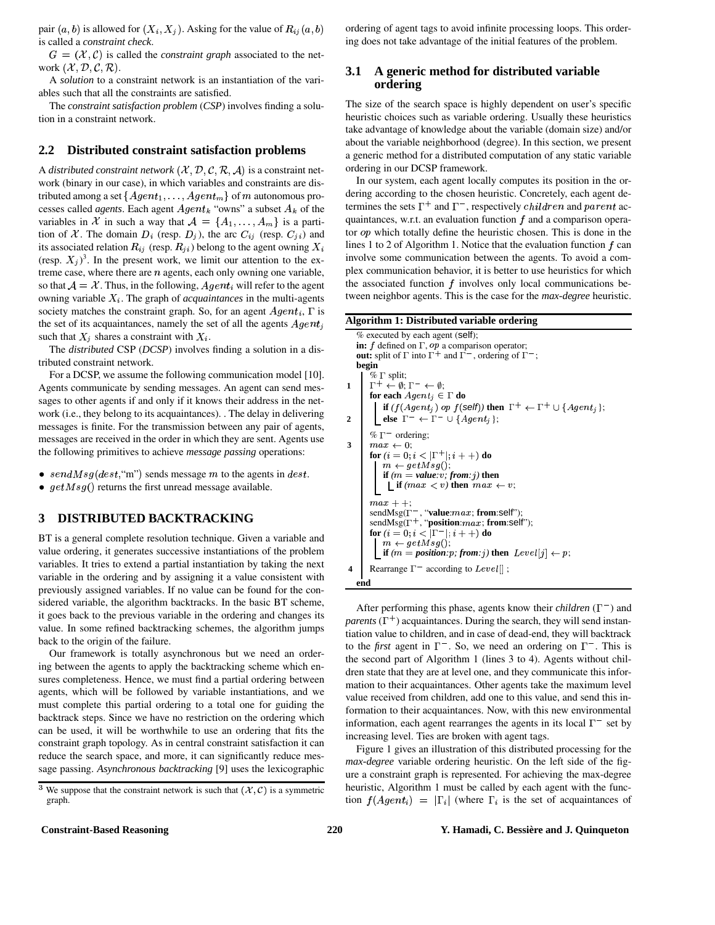pair  $(a, b)$  is allowed for  $(X_i, X_j)$ . Asking for the value of  $R_{ij}(a, b)$  or is called a *constraint check*.

 $G = (\mathcal{X}, \mathcal{C})$  is called the *constraint* graph associated to the network  $(X, \mathcal{D}, \mathcal{C}, \mathcal{R})$ .

A *solution* to a constraint network is an instantiation of the variables such that all the constraints are satisfied.

The *constraint satisfaction problem* (*CSP*) involves finding a solution in a constraint network.

### **2.2 Distributed constraint satisfaction problems**

A *distributed constraint network*  $(\mathcal{X}, \mathcal{D}, \mathcal{C}, \mathcal{R}, \mathcal{A})$  is a constraint network (binary in our case), in which variables and constraints are distributed among a set  $\{Agent_1, \ldots, Agent_m\}$  of  $m$  autonomous processes called *agents*. Each agent  $Agent_k$  "owns" a subset  $A_k$  of the variables in X in such a way that  $A = \{A_1, \ldots, A_m\}$  is a partition of X. The domain  $D_i$  (resp.  $D_j$ ), the arc  $C_{ij}$  (resp.  $C_{ji}$ ) and its associated relation  $R_{ij}$  (resp.  $R_{ji}$ ) belong to the agent owning  $X_i$ (resp.  $(X_j)^3$ . In the present work, we limit our attention to the extreme case, where there are  $n$  agents, each only owning one variable, so that  $A = \mathcal{X}$ . Thus, in the following,  $Agent_i$  will refer to the agent owning variable  $X_i$ . The graph of *acquaintances* in the multi-agents society matches the constraint graph. So, for an agent  $Agent_i$ ,  $\Gamma$  is the set of its acquaintances, namely the set of all the agents  $Agent_i$   $\mathbf{A}$ such that  $X_i$  shares a constraint with  $X_i$ .

The *distributed* CSP (*DCSP*) involves finding a solution in a distributed constraint network.

For a DCSP, we assume the following communication model [10]. Agents communicate by sending messages. An agent can send messages to other agents if and only if it knows their address in the network (i.e., they belong to its acquaintances). . The delay in delivering messages is finite. For the transmission between any pair of agents, messages are received in the order in which they are sent. Agents use the following primitives to achieve *message passing* operations:

- $sendMsg(det, "m")$  sends message m to the agents in  $dest$ .
- $getMsg()$  returns the first unread message available.

### **3 DISTRIBUTED BACKTRACKING**

BT is a general complete resolution technique. Given a variable and value ordering, it generates successive instantiations of the problem variables. It tries to extend a partial instantiation by taking the next variable in the ordering and by assigning it a value consistent with previously assigned variables. If no value can be found for the considered variable, the algorithm backtracks. In the basic BT scheme, it goes back to the previous variable in the ordering and changes its value. In some refined backtracking schemes, the algorithm jumps back to the origin of the failure.

Our framework is totally asynchronous but we need an ordering between the agents to apply the backtracking scheme which ensures completeness. Hence, we must find a partial ordering between agents, which will be followed by variable instantiations, and we must complete this partial ordering to a total one for guiding the backtrack steps. Since we have no restriction on the ordering which can be used, it will be worthwhile to use an ordering that fits the constraint graph topology. As in central constraint satisfaction it can reduce the search space, and more, it can significantly reduce message passing. *Asynchronous backtracking* [9] uses the lexicographic ordering of agent tags to avoid infinite processing loops. This ordering does not take advantage of the initial features of the problem.

### **3.1 A generic method for distributed variable ordering**

The size of the search space is highly dependent on user's specific heuristic choices such as variable ordering. Usually these heuristics take advantage of knowledge about the variable (domain size) and/or about the variable neighborhood (degree). In this section, we present a generic method for a distributed computation of any static variable ordering in our DCSP framework.

In our system, each agent locally computes its position in the ordering according to the chosen heuristic. Concretely, each agent determines the sets  $\Gamma^+$  and  $\Gamma^-$ , respectively *children* and parent acquaintances, w.r.t. an evaluation function  $f$  and a comparison operator  $op$  which totally define the heuristic chosen. This is done in the lines 1 to 2 of Algorithm 1. Notice that the evaluation function  $f$  can involve some communication between the agents. To avoid a complex communication behavior, it is better to use heuristics for which the associated function  $f$  involves only local communications between neighbor agents. This is the case for the *max-degree* heuristic.

### **Algorithm 1: Distributed variable ordering**

% executed by each agent (self); **in:**  $f$  defined on  $\Gamma$ ,  $op$  a comparison operator; **out:** split of  $\Gamma$  into  $\Gamma^+$  and  $\Gamma^-$ , ordering of  $\Gamma^-$ ; **begin**  $\% \Gamma$  split;  $1 \quad \Gamma^+ \leftarrow \emptyset; \Gamma^- \leftarrow \emptyset;$ **for each**  $Agent_i \in \Gamma$  **do if**  $(f(Agent_j)$  op  $f(\text{self})$  then  $\Gamma^+ \leftarrow \Gamma^+ \cup \{Agent_j\};$ **2 else**  $\Gamma^- \leftarrow \Gamma^- \cup \{Agent_i\};$  $% \Gamma^-$  ordering; **3**  $\mid$  max  $\leftarrow$  0;  ${\bf for}\ (i=0; i<|\Gamma^+|;i++) \ {\bf do}$  $m \leftarrow getMsg();$ **if**  $(m = value: v; from: j)$  then  $\iint (max < v)$  then  $max \leftarrow v$ ;  $max + +$  $sendMsg(\Gamma^-$ , "**value**: $max$ ; **from**:self");  $sendMsg(\Gamma^+, \text{``position:} max; \textbf{from:} self");$  ${\bf for}\ (i=0;i<|\Gamma^-|;i++) \ {\bf do}$  $m \leftarrow getMsg();$  $\iint$  **if**  $(m = position : p; from : j)$  then  $Level[j] \leftarrow p;$ **4** Rearrange  $\Gamma^-$  according to Level[]; **end**

After performing this phase, agents know their *children*  $(\Gamma^{-})$  and *parents*  $(\Gamma^+)$  acquaintances. During the search, they will send instantiation value to children, and in case of dead-end, they will backtrack to the *first* agent in  $\Gamma^-$ . So, we need an ordering on  $\Gamma^-$ . This is the second part of Algorithm 1 (lines 3 to 4). Agents without children state that they are at level one, and they communicate this information to their acquaintances. Other agents take the maximum level value received from children, add one to this value, and send this information to their acquaintances. Now, with this new environmental information, each agent rearranges the agents in its local  $\Gamma^-$  set by increasing level. Ties are broken with agent tags.

Figure 1 gives an illustration of this distributed processing for the *max-degree* variable ordering heuristic. On the left side of the figure a constraint graph is represented. For achieving the max-degree heuristic, Algorithm 1 must be called by each agent with the function  $f(Agent_i) = |\Gamma_i|$  (where  $\Gamma_i$  is the set of acquaintances of

<sup>&</sup>lt;sup>3</sup> We suppose that the constraint network is such that  $(X, \mathcal{C})$  is a symmetric graph.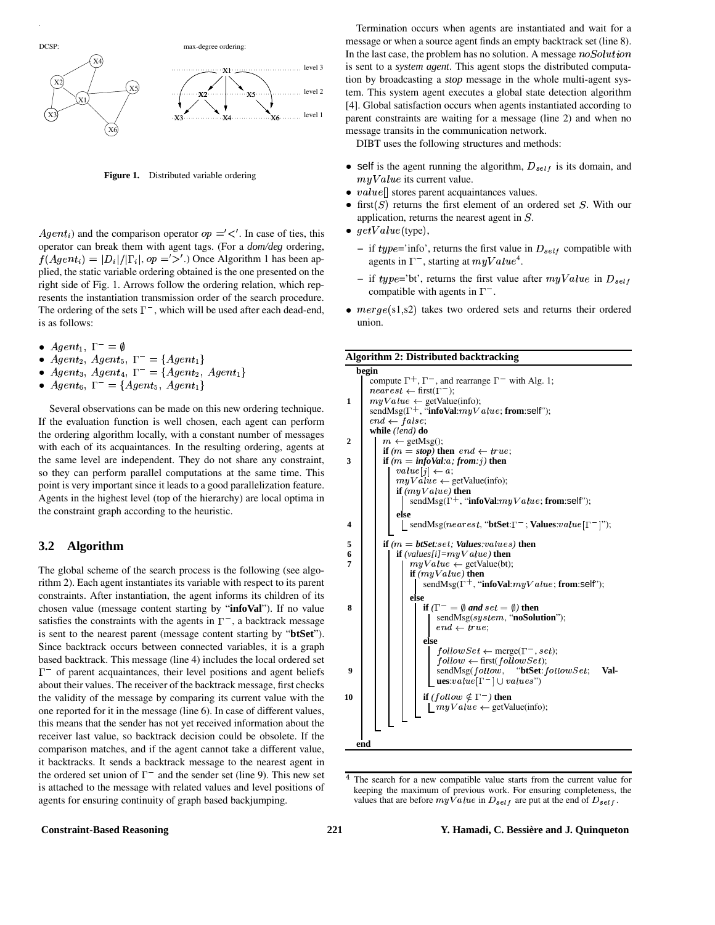

**Figure 1.** Distributed variable ordering

*Agent<sub>i</sub>*) and the comparison operator  $op =' <'$ . In case of ties, this operator can break them with agent tags. (For a *dom/deg* ordering,  $f(Agent_i) = |D_i|/|\Gamma_i|$ ,  $op =' >'.$ ) Once Algorithm 1 has been applied, the static variable ordering obtained is the one presented on the right side of Fig. 1. Arrows follow the ordering relation, which represents the instantiation transmission order of the search procedure. The ordering of the sets  $\Gamma^-$ , which will be used after each dead-end, is as follows:

- Agent<sub>1</sub>,  $\Gamma^{-} = \emptyset$
- $Agent_2$ ,  $Agent_5$ ,  $\Gamma^- = \{Agent_1\}$
- Agent<sub>3</sub>, Agent<sub>4</sub>,  $\Gamma^- = \{Agent_2, Agent_1\}$
- $Agent_6, \Gamma^- = \{Agent_5, Agent_1\}$

Several observations can be made on this new ordering technique. If the evaluation function is well chosen, each agent can perform the ordering algorithm locally, with a constant number of messages with each of its acquaintances. In the resulting ordering, agents at the same level are independent. They do not share any constraint, so they can perform parallel computations at the same time. This point is very important since it leads to a good parallelization feature. Agents in the highest level (top of the hierarchy) are local optima in the constraint graph according to the heuristic.

### **3.2 Algorithm**

The global scheme of the search process is the following (see algorithm 2). Each agent instantiates its variable with respect to its parent constraints. After instantiation, the agent informs its children of its chosen value (message content starting by "**infoVal**"). If no value satisfies the constraints with the agents in  $\Gamma^-$ , a backtrack message is sent to the nearest parent (message content starting by "**btSet**"). Since backtrack occurs between connected variables, it is a graph based backtrack. This message (line 4) includes the local ordered set  $\Gamma$ <sup>-</sup> of parent acquaintances, their level positions and agent beliefs about their values. The receiver of the backtrack message, first checks the validity of the message by comparing its current value with the one reported for it in the message (line 6). In case of different values, this means that the sender has not yet received information about the receiver last value, so backtrack decision could be obsolete. If the comparison matches, and if the agent cannot take a different value, it backtracks. It sends a backtrack message to the nearest agent in the ordered set union of  $\Gamma^-$  and the sender set (line 9). This new set is attached to the message with related values and level positions of agents for ensuring continuity of graph based backjumping.

Termination occurs when agents are instantiated and wait for a message or when a source agent finds an empty backtrack set (line 8). In the last case, the problem has no solution. A message  $noSolution$ is sent to a *system agent*. This agent stops the distributed computation by broadcasting a *stop* message in the whole multi-agent system. This system agent executes a global state detection algorithm [4]. Global satisfaction occurs when agents instantiated according to parent constraints are waiting for a message (line 2) and when no message transits in the communication network.

DIBT uses the following structures and methods:

- self is the agent running the algorithm,  $D_{self}$  is its domain, and  $myValue$  its current value.
- $\bullet$  value[] stores parent acquaintances values.
- first $(S)$  returns the first element of an ordered set S. With our application, returns the nearest agent in  $S$ .
- $getValue$ (type),
	- $-$  if  $type='info'$ , returns the first value in  $D_{self}$  compatible with agents in  $\Gamma^-$ , starting at  $myValue^4$ .
	- $-$  if *type*='bt', returns the first value after  $myValue$  in  $D_{self}$ compatible with agents in  $\Gamma^-$ .
- $merge(s1,s2)$  takes two ordered sets and returns their ordered union.

**Algorithm 2: Distributed backtracking**



<sup>&</sup>lt;sup>4</sup> The search for a new compatible value starts from the current value for keeping the maximum of previous work. For ensuring completeness, the values that are before  $myValue$  in  $D_{self}$  are put at the end of  $D_{self}$ .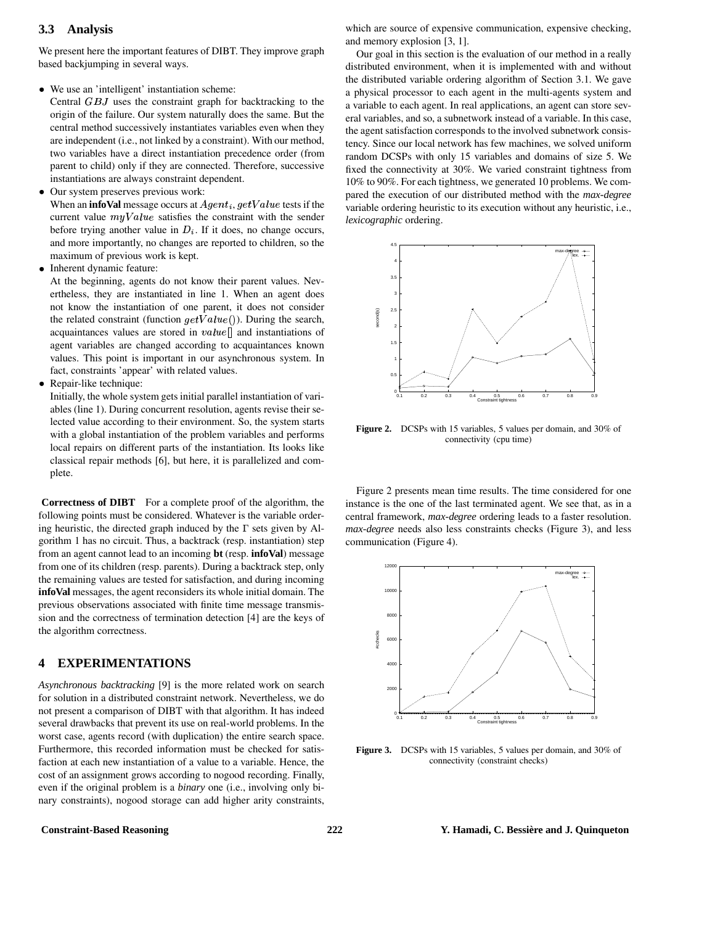### **3.3 Analysis**

We present here the important features of DIBT. They improve graph based backjumping in several ways.

- We use an 'intelligent' instantiation scheme:
- Central  $GBJ$  uses the constraint graph for backtracking to the origin of the failure. Our system naturally does the same. But the central method successively instantiates variables even when they are independent (i.e., not linked by a constraint). With our method, two variables have a direct instantiation precedence order (from parent to child) only if they are connected. Therefore, successive instantiations are always constraint dependent.
- Our system preserves previous work:

When an **infoVal** message occurs at  $Agent_i, getValue$  tests if the current value  $myValue$  satisfies the constraint with the sender before trying another value in  $D_i$ . If it does, no change occurs, and more importantly, no changes are reported to children, so the maximum of previous work is kept.

• Inherent dynamic feature:

At the beginning, agents do not know their parent values. Nevertheless, they are instantiated in line 1. When an agent does not know the instantiation of one parent, it does not consider the related constraint (function  $getValue()$ ). During the search, acquaintances values are stored in  $value$  and instantiations of agent variables are changed according to acquaintances known values. This point is important in our asynchronous system. In fact, constraints 'appear' with related values.

Repair-like technique:

Initially, the whole system gets initial parallel instantiation of variables (line 1). During concurrent resolution, agents revise their selected value according to their environment. So, the system starts with a global instantiation of the problem variables and performs local repairs on different parts of the instantiation. Its looks like classical repair methods [6], but here, it is parallelized and complete.

**Correctness of DIBT** For a complete proof of the algorithm, the following points must be considered. Whatever is the variable ordering heuristic, the directed graph induced by the  $\Gamma$  sets given by Algorithm 1 has no circuit. Thus, a backtrack (resp. instantiation) step from an agent cannot lead to an incoming **bt** (resp. **infoVal**) message from one of its children (resp. parents). During a backtrack step, only the remaining values are tested for satisfaction, and during incoming **infoVal** messages, the agent reconsiders its whole initial domain. The previous observations associated with finite time message transmission and the correctness of termination detection [4] are the keys of the algorithm correctness.

# **4 EXPERIMENTATIONS**

*Asynchronous backtracking* [9] is the more related work on search for solution in a distributed constraint network. Nevertheless, we do not present a comparison of DIBT with that algorithm. It has indeed several drawbacks that prevent its use on real-world problems. In the worst case, agents record (with duplication) the entire search space. Furthermore, this recorded information must be checked for satisfaction at each new instantiation of a value to a variable. Hence, the cost of an assignment grows according to nogood recording. Finally, even if the original problem is a *binary* one (i.e., involving only binary constraints), nogood storage can add higher arity constraints, which are source of expensive communication, expensive checking, and memory explosion [3, 1].

Our goal in this section is the evaluation of our method in a really distributed environment, when it is implemented with and without the distributed variable ordering algorithm of Section 3.1. We gave a physical processor to each agent in the multi-agents system and a variable to each agent. In real applications, an agent can store several variables, and so, a subnetwork instead of a variable. In this case, the agent satisfaction corresponds to the involved subnetwork consistency. Since our local network has few machines, we solved uniform random DCSPs with only 15 variables and domains of size 5. We fixed the connectivity at 30%. We varied constraint tightness from 10% to 90%. For each tightness, we generated 10 problems. We compared the execution of our distributed method with the *max-degree* variable ordering heuristic to its execution without any heuristic, i.e., *lexicographic* ordering.



**Figure 2.** DCSPs with 15 variables, 5 values per domain, and 30% of connectivity (cpu time)

Figure 2 presents mean time results. The time considered for one instance is the one of the last terminated agent. We see that, as in a central framework, *max-degree* ordering leads to a faster resolution. *max-degree* needs also less constraints checks (Figure 3), and less communication (Figure 4).



**Figure 3.** DCSPs with 15 variables, 5 values per domain, and 30% of connectivity (constraint checks)

### **Constraint-Based Reasoning 222 Y. Hamadi, C. Bessière and J. Quinqueton**